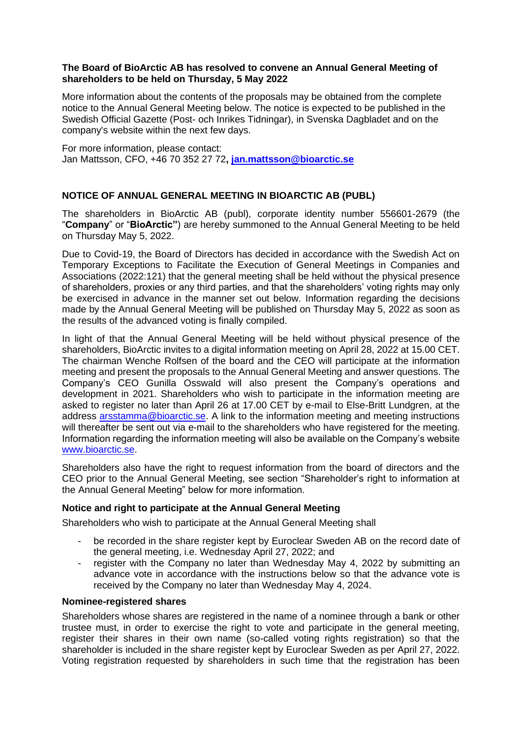## **The Board of BioArctic AB has resolved to convene an Annual General Meeting of shareholders to be held on Thursday, 5 May 2022**

More information about the contents of the proposals may be obtained from the complete notice to the Annual General Meeting below. The notice is expected to be published in the Swedish Official Gazette (Post- och Inrikes Tidningar), in Svenska Dagbladet and on the company's website within the next few days.

For more information, please contact: Jan Mattsson, CFO, +46 70 352 27 72**, [jan.mattsson@bioarctic.se](mailto:jan.mattsson@bioarctic.se)**

# **NOTICE OF ANNUAL GENERAL MEETING IN BIOARCTIC AB (PUBL)**

The shareholders in BioArctic AB (publ), corporate identity number 556601-2679 (the "**Company**" or "**BioArctic"**) are hereby summoned to the Annual General Meeting to be held on Thursday May 5, 2022.

Due to Covid-19, the Board of Directors has decided in accordance with the Swedish Act on Temporary Exceptions to Facilitate the Execution of General Meetings in Companies and Associations (2022:121) that the general meeting shall be held without the physical presence of shareholders, proxies or any third parties, and that the shareholders' voting rights may only be exercised in advance in the manner set out below. Information regarding the decisions made by the Annual General Meeting will be published on Thursday May 5, 2022 as soon as the results of the advanced voting is finally compiled.

In light of that the Annual General Meeting will be held without physical presence of the shareholders, BioArctic invites to a digital information meeting on April 28, 2022 at 15.00 CET. The chairman Wenche Rolfsen of the board and the CEO will participate at the information meeting and present the proposals to the Annual General Meeting and answer questions. The Company's CEO Gunilla Osswald will also present the Company's operations and development in 2021. Shareholders who wish to participate in the information meeting are asked to register no later than April 26 at 17.00 CET by e-mail to Else-Britt Lundgren, at the address **arsstamma@bioarctic.se**. A link to the information meeting and meeting instructions will thereafter be sent out via e-mail to the shareholders who have registered for the meeting. Information regarding the information meeting will also be available on the Company's website www.bioarctic.se.

Shareholders also have the right to request information from the board of directors and the CEO prior to the Annual General Meeting, see section "Shareholder's right to information at the Annual General Meeting" below for more information.

# **Notice and right to participate at the Annual General Meeting**

Shareholders who wish to participate at the Annual General Meeting shall

- be recorded in the share register kept by Euroclear Sweden AB on the record date of the general meeting, i.e. Wednesday April 27, 2022; and
- register with the Company no later than Wednesday May 4, 2022 by submitting an advance vote in accordance with the instructions below so that the advance vote is received by the Company no later than Wednesday May 4, 2024.

## **Nominee-registered shares**

Shareholders whose shares are registered in the name of a nominee through a bank or other trustee must, in order to exercise the right to vote and participate in the general meeting, register their shares in their own name (so-called voting rights registration) so that the shareholder is included in the share register kept by Euroclear Sweden as per April 27, 2022. Voting registration requested by shareholders in such time that the registration has been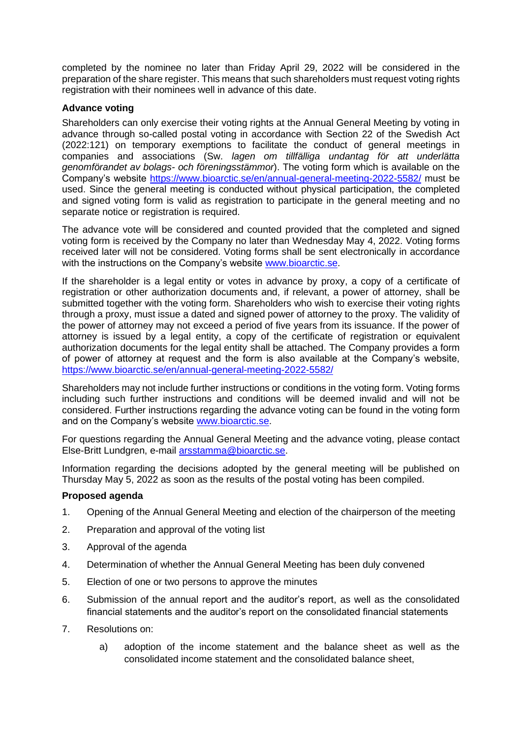completed by the nominee no later than Friday April 29, 2022 will be considered in the preparation of the share register. This means that such shareholders must request voting rights registration with their nominees well in advance of this date.

# **Advance voting**

Shareholders can only exercise their voting rights at the Annual General Meeting by voting in advance through so-called postal voting in accordance with Section 22 of the Swedish Act (2022:121) on temporary exemptions to facilitate the conduct of general meetings in companies and associations (Sw. *lagen om tillfälliga undantag för att underlätta genomförandet av bolags- och föreningsstämmor*). The voting form which is available on the Company's website <https://www.bioarctic.se/en/annual-general-meeting-2022-5582/> must be used. Since the general meeting is conducted without physical participation, the completed and signed voting form is valid as registration to participate in the general meeting and no separate notice or registration is required.

The advance vote will be considered and counted provided that the completed and signed voting form is received by the Company no later than Wednesday May 4, 2022. Voting forms received later will not be considered. Voting forms shall be sent electronically in accordance with the instructions on the Company's website [www.bioarctic.se.](http://www.bioarctic.se/)

If the shareholder is a legal entity or votes in advance by proxy, a copy of a certificate of registration or other authorization documents and, if relevant, a power of attorney, shall be submitted together with the voting form. Shareholders who wish to exercise their voting rights through a proxy, must issue a dated and signed power of attorney to the proxy. The validity of the power of attorney may not exceed a period of five years from its issuance. If the power of attorney is issued by a legal entity, a copy of the certificate of registration or equivalent authorization documents for the legal entity shall be attached. The Company provides a form of power of attorney at request and the form is also available at the Company's website, https://www.bioarctic.se/en/annual-general-meeting-2022-5582/

Shareholders may not include further instructions or conditions in the voting form. Voting forms including such further instructions and conditions will be deemed invalid and will not be considered. Further instructions regarding the advance voting can be found in the voting form and on the Company's website [www.bioarctic.se.](http://www.bioarctic.se/)

For questions regarding the Annual General Meeting and the advance voting, please contact Else-Britt Lundgren, e-mail [arsstamma@bioarctic.se.](mailto:arsstamma@bioarctic.se)

Information regarding the decisions adopted by the general meeting will be published on Thursday May 5, 2022 as soon as the results of the postal voting has been compiled.

# **Proposed agenda**

- <span id="page-1-0"></span>1. Opening of the Annual General Meeting and election of the chairperson of the meeting
- <span id="page-1-1"></span>2. Preparation and approval of the voting list
- 3. Approval of the agenda
- 4. Determination of whether the Annual General Meeting has been duly convened
- <span id="page-1-2"></span>5. Election of one or two persons to approve the minutes
- 6. Submission of the annual report and the auditor's report, as well as the consolidated financial statements and the auditor's report on the consolidated financial statements
- <span id="page-1-3"></span>7. Resolutions on:
	- a) adoption of the income statement and the balance sheet as well as the consolidated income statement and the consolidated balance sheet,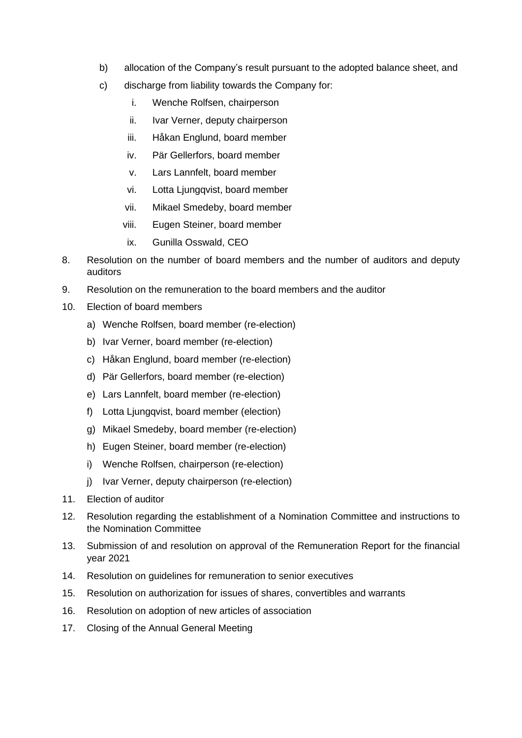- <span id="page-2-0"></span>b) allocation of the Company's result pursuant to the adopted balance sheet, and
- c) discharge from liability towards the Company for:
	- i. Wenche Rolfsen, chairperson
	- ii. Ivar Verner, deputy chairperson
	- iii. Håkan Englund, board member
	- iv. Pär Gellerfors, board member
	- v. Lars Lannfelt, board member
	- vi. Lotta Ljungqvist, board member
	- vii. Mikael Smedeby, board member
	- viii. Eugen Steiner, board member
	- ix. Gunilla Osswald, CEO
- <span id="page-2-1"></span>8. Resolution on the number of board members and the number of auditors and deputy auditors
- <span id="page-2-2"></span>9. Resolution on the remuneration to the board members and the auditor
- <span id="page-2-3"></span>10. Election of board members
	- a) Wenche Rolfsen, board member (re-election)
	- b) Ivar Verner, board member (re-election)
	- c) Håkan Englund, board member (re-election)
	- d) Pär Gellerfors, board member (re-election)
	- e) Lars Lannfelt, board member (re-election)
	- f) Lotta Ljungqvist, board member (election)
	- g) Mikael Smedeby, board member (re-election)
	- h) Eugen Steiner, board member (re-election)
	- i) Wenche Rolfsen, chairperson (re-election)
	- j) Ivar Verner, deputy chairperson (re-election)
- <span id="page-2-4"></span>11. Election of auditor
- <span id="page-2-5"></span>12. Resolution regarding the establishment of a Nomination Committee and instructions to the Nomination Committee
- 13. Submission of and resolution on approval of the Remuneration Report for the financial year 2021
- 14. Resolution on guidelines for remuneration to senior executives
- <span id="page-2-6"></span>15. Resolution on authorization for issues of shares, convertibles and warrants
- <span id="page-2-7"></span>16. Resolution on adoption of new articles of association
- 17. Closing of the Annual General Meeting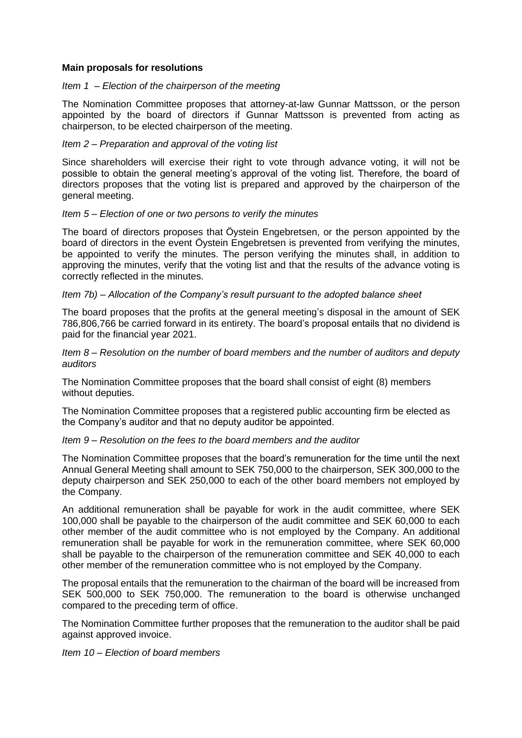## **Main proposals for resolutions**

### *Item [1](#page-1-0) – Election of the chairperson of the meeting*

The Nomination Committee proposes that attorney-at-law Gunnar Mattsson, or the person appointed by the board of directors if Gunnar Mattsson is prevented from acting as chairperson, to be elected chairperson of the meeting.

## *Item [2](#page-1-1) – Preparation and approval of the voting list*

Since shareholders will exercise their right to vote through advance voting, it will not be possible to obtain the general meeting's approval of the voting list. Therefore, the board of directors proposes that the voting list is prepared and approved by the chairperson of the general meeting.

## *Item [5](#page-1-2) – Election of one or two persons to verify the minutes*

The board of directors proposes that Öystein Engebretsen, or the person appointed by the board of directors in the event Öystein Engebretsen is prevented from verifying the minutes, be appointed to verify the minutes. The person verifying the minutes shall, in addition to approving the minutes, verify that the voting list and that the results of the advance voting is correctly reflected in the minutes.

## *Item [7](#page-1-3)[b\)](#page-2-0) – Allocation of the Company's result pursuant to the adopted balance sheet*

The board proposes that the profits at the general meeting's disposal in the amount of SEK 786,806,766 be carried forward in its entirety. The board's proposal entails that no dividend is paid for the financial year 2021.

*Item [8](#page-2-1) – Resolution on the number of board members and the number of auditors and deputy auditors*

The Nomination Committee proposes that the board shall consist of eight (8) members without deputies.

The Nomination Committee proposes that a registered public accounting firm be elected as the Company's auditor and that no deputy auditor be appointed.

#### *Item [9](#page-2-2) – Resolution on the fees to the board members and the auditor*

The Nomination Committee proposes that the board's remuneration for the time until the next Annual General Meeting shall amount to SEK 750,000 to the chairperson, SEK 300,000 to the deputy chairperson and SEK 250,000 to each of the other board members not employed by the Company.

An additional remuneration shall be payable for work in the audit committee, where SEK 100,000 shall be payable to the chairperson of the audit committee and SEK 60,000 to each other member of the audit committee who is not employed by the Company. An additional remuneration shall be payable for work in the remuneration committee, where SEK 60,000 shall be payable to the chairperson of the remuneration committee and SEK 40,000 to each other member of the remuneration committee who is not employed by the Company.

The proposal entails that the remuneration to the chairman of the board will be increased from SEK 500,000 to SEK 750,000. The remuneration to the board is otherwise unchanged compared to the preceding term of office.

The Nomination Committee further proposes that the remuneration to the auditor shall be paid against approved invoice.

*Item [10](#page-2-3) – Election of board members*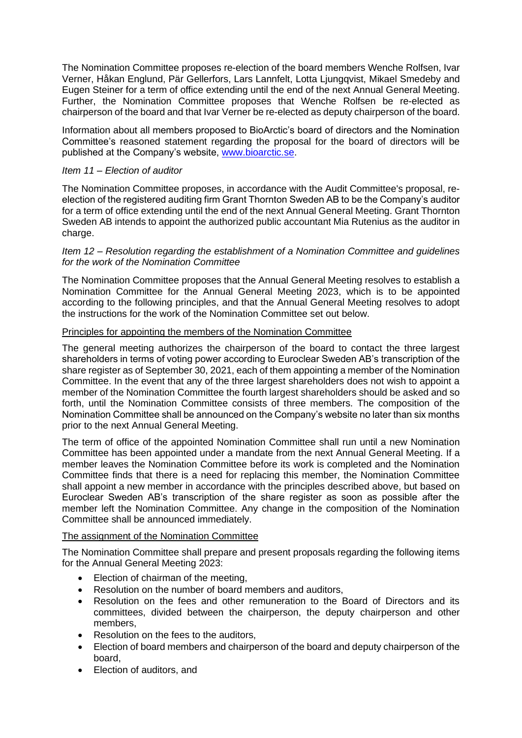The Nomination Committee proposes re-election of the board members Wenche Rolfsen, Ivar Verner, Håkan Englund, Pär Gellerfors, Lars Lannfelt, Lotta Ljungqvist, Mikael Smedeby and Eugen Steiner for a term of office extending until the end of the next Annual General Meeting. Further, the Nomination Committee proposes that Wenche Rolfsen be re-elected as chairperson of the board and that Ivar Verner be re-elected as deputy chairperson of the board.

Information about all members proposed to BioArctic's board of directors and the Nomination Committee's reasoned statement regarding the proposal for the board of directors will be published at the Company's website, [www.bioarctic.se.](http://www.bioarctic.se/)

# *Item [11](#page-2-4) – Election of auditor*

The Nomination Committee proposes, in accordance with the Audit Committee's proposal, reelection of the registered auditing firm Grant Thornton Sweden AB to be the Company's auditor for a term of office extending until the end of the next Annual General Meeting. Grant Thornton Sweden AB intends to appoint the authorized public accountant Mia Rutenius as the auditor in charge.

## *Item [12](#page-2-5) – Resolution regarding the establishment of a Nomination Committee and guidelines for the work of the Nomination Committee*

The Nomination Committee proposes that the Annual General Meeting resolves to establish a Nomination Committee for the Annual General Meeting 2023, which is to be appointed according to the following principles, and that the Annual General Meeting resolves to adopt the instructions for the work of the Nomination Committee set out below.

## Principles for appointing the members of the Nomination Committee

The general meeting authorizes the chairperson of the board to contact the three largest shareholders in terms of voting power according to Euroclear Sweden AB's transcription of the share register as of September 30, 2021, each of them appointing a member of the Nomination Committee. In the event that any of the three largest shareholders does not wish to appoint a member of the Nomination Committee the fourth largest shareholders should be asked and so forth, until the Nomination Committee consists of three members. The composition of the Nomination Committee shall be announced on the Company's website no later than six months prior to the next Annual General Meeting.

The term of office of the appointed Nomination Committee shall run until a new Nomination Committee has been appointed under a mandate from the next Annual General Meeting. If a member leaves the Nomination Committee before its work is completed and the Nomination Committee finds that there is a need for replacing this member, the Nomination Committee shall appoint a new member in accordance with the principles described above, but based on Euroclear Sweden AB's transcription of the share register as soon as possible after the member left the Nomination Committee. Any change in the composition of the Nomination Committee shall be announced immediately.

### The assignment of the Nomination Committee

The Nomination Committee shall prepare and present proposals regarding the following items for the Annual General Meeting 2023:

- Election of chairman of the meeting,
- Resolution on the number of board members and auditors,
- Resolution on the fees and other remuneration to the Board of Directors and its committees, divided between the chairperson, the deputy chairperson and other members,
- Resolution on the fees to the auditors,
- Election of board members and chairperson of the board and deputy chairperson of the board,
- Election of auditors, and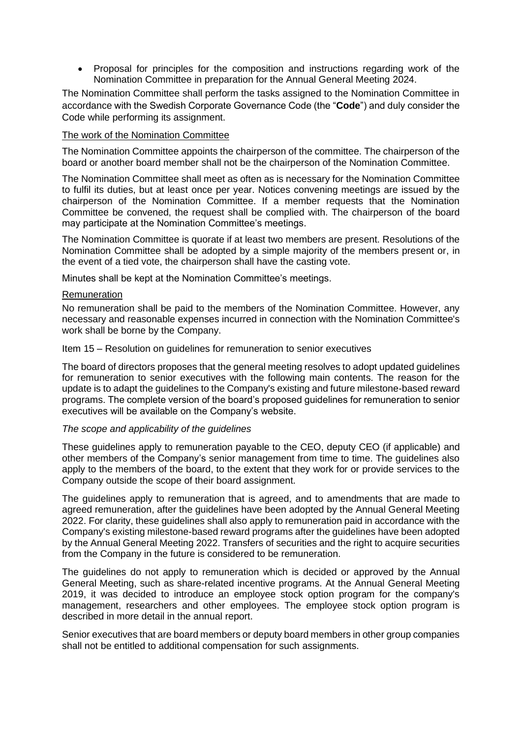• Proposal for principles for the composition and instructions regarding work of the Nomination Committee in preparation for the Annual General Meeting 2024.

The Nomination Committee shall perform the tasks assigned to the Nomination Committee in accordance with the Swedish Corporate Governance Code (the "**Code**") and duly consider the Code while performing its assignment.

# The work of the Nomination Committee

The Nomination Committee appoints the chairperson of the committee. The chairperson of the board or another board member shall not be the chairperson of the Nomination Committee.

The Nomination Committee shall meet as often as is necessary for the Nomination Committee to fulfil its duties, but at least once per year. Notices convening meetings are issued by the chairperson of the Nomination Committee. If a member requests that the Nomination Committee be convened, the request shall be complied with. The chairperson of the board may participate at the Nomination Committee's meetings.

The Nomination Committee is quorate if at least two members are present. Resolutions of the Nomination Committee shall be adopted by a simple majority of the members present or, in the event of a tied vote, the chairperson shall have the casting vote.

Minutes shall be kept at the Nomination Committee's meetings.

## Remuneration

No remuneration shall be paid to the members of the Nomination Committee. However, any necessary and reasonable expenses incurred in connection with the Nomination Committee's work shall be borne by the Company.

Item [15](#page-2-6) – Resolution on guidelines for remuneration to senior executives

The board of directors proposes that the general meeting resolves to adopt updated guidelines for remuneration to senior executives with the following main contents. The reason for the update is to adapt the guidelines to the Company's existing and future milestone-based reward programs. The complete version of the board's proposed guidelines for remuneration to senior executives will be available on the Company's website.

#### *The scope and applicability of the guidelines*

These guidelines apply to remuneration payable to the CEO, deputy CEO (if applicable) and other members of the Company's senior management from time to time. The guidelines also apply to the members of the board, to the extent that they work for or provide services to the Company outside the scope of their board assignment.

The guidelines apply to remuneration that is agreed, and to amendments that are made to agreed remuneration, after the guidelines have been adopted by the Annual General Meeting 2022. For clarity, these guidelines shall also apply to remuneration paid in accordance with the Company's existing milestone-based reward programs after the guidelines have been adopted by the Annual General Meeting 2022. Transfers of securities and the right to acquire securities from the Company in the future is considered to be remuneration.

The guidelines do not apply to remuneration which is decided or approved by the Annual General Meeting, such as share-related incentive programs. At the Annual General Meeting 2019, it was decided to introduce an employee stock option program for the company's management, researchers and other employees. The employee stock option program is described in more detail in the annual report.

Senior executives that are board members or deputy board members in other group companies shall not be entitled to additional compensation for such assignments.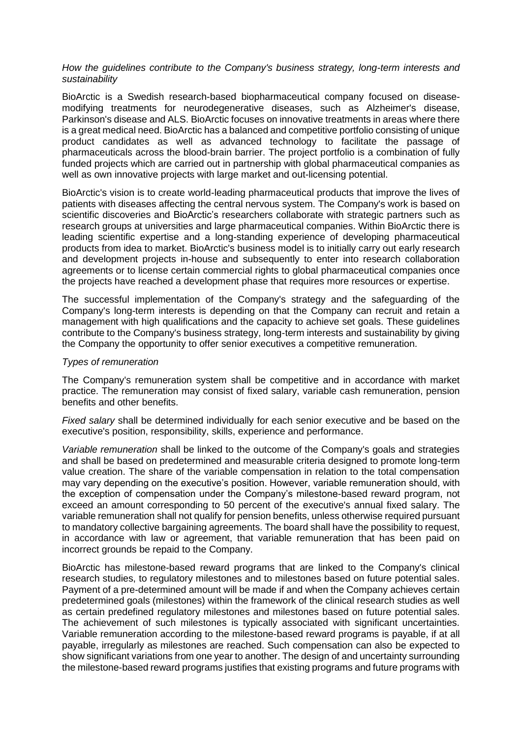### *How the guidelines contribute to the Company's business strategy, long-term interests and sustainability*

BioArctic is a Swedish research-based biopharmaceutical company focused on diseasemodifying treatments for neurodegenerative diseases, such as Alzheimer's disease, Parkinson's disease and ALS. BioArctic focuses on innovative treatments in areas where there is a great medical need. BioArctic has a balanced and competitive portfolio consisting of unique product candidates as well as advanced technology to facilitate the passage of pharmaceuticals across the blood-brain barrier. The project portfolio is a combination of fully funded projects which are carried out in partnership with global pharmaceutical companies as well as own innovative projects with large market and out-licensing potential.

BioArctic's vision is to create world-leading pharmaceutical products that improve the lives of patients with diseases affecting the central nervous system. The Company's work is based on scientific discoveries and BioArctic's researchers collaborate with strategic partners such as research groups at universities and large pharmaceutical companies. Within BioArctic there is leading scientific expertise and a long-standing experience of developing pharmaceutical products from idea to market. BioArctic's business model is to initially carry out early research and development projects in-house and subsequently to enter into research collaboration agreements or to license certain commercial rights to global pharmaceutical companies once the projects have reached a development phase that requires more resources or expertise.

The successful implementation of the Company's strategy and the safeguarding of the Company's long-term interests is depending on that the Company can recruit and retain a management with high qualifications and the capacity to achieve set goals. These guidelines contribute to the Company's business strategy, long-term interests and sustainability by giving the Company the opportunity to offer senior executives a competitive remuneration.

#### *Types of remuneration*

The Company's remuneration system shall be competitive and in accordance with market practice. The remuneration may consist of fixed salary, variable cash remuneration, pension benefits and other benefits.

*Fixed salary* shall be determined individually for each senior executive and be based on the executive's position, responsibility, skills, experience and performance.

*Variable remuneration* shall be linked to the outcome of the Company's goals and strategies and shall be based on predetermined and measurable criteria designed to promote long-term value creation. The share of the variable compensation in relation to the total compensation may vary depending on the executive's position. However, variable remuneration should, with the exception of compensation under the Company's milestone-based reward program, not exceed an amount corresponding to 50 percent of the executive's annual fixed salary. The variable remuneration shall not qualify for pension benefits, unless otherwise required pursuant to mandatory collective bargaining agreements. The board shall have the possibility to request, in accordance with law or agreement, that variable remuneration that has been paid on incorrect grounds be repaid to the Company.

BioArctic has milestone-based reward programs that are linked to the Company's clinical research studies, to regulatory milestones and to milestones based on future potential sales. Payment of a pre-determined amount will be made if and when the Company achieves certain predetermined goals (milestones) within the framework of the clinical research studies as well as certain predefined regulatory milestones and milestones based on future potential sales. The achievement of such milestones is typically associated with significant uncertainties. Variable remuneration according to the milestone-based reward programs is payable, if at all payable, irregularly as milestones are reached. Such compensation can also be expected to show significant variations from one year to another. The design of and uncertainty surrounding the milestone-based reward programs justifies that existing programs and future programs with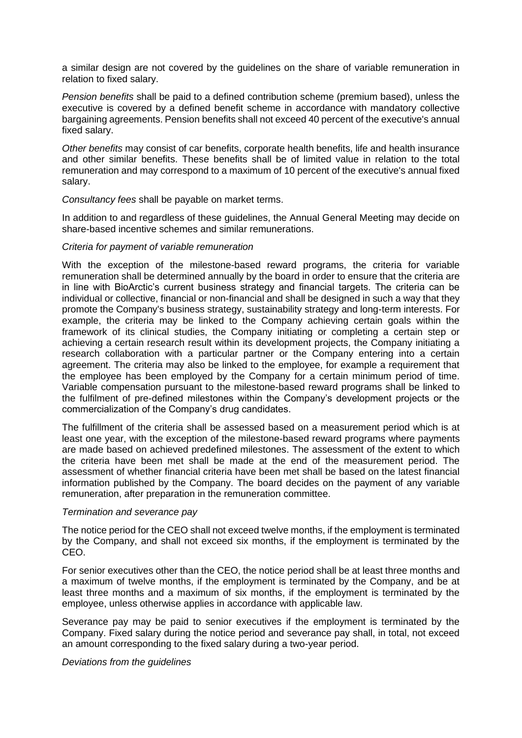a similar design are not covered by the guidelines on the share of variable remuneration in relation to fixed salary.

*Pension benefits* shall be paid to a defined contribution scheme (premium based), unless the executive is covered by a defined benefit scheme in accordance with mandatory collective bargaining agreements. Pension benefits shall not exceed 40 percent of the executive's annual fixed salary.

*Other benefits* may consist of car benefits, corporate health benefits, life and health insurance and other similar benefits. These benefits shall be of limited value in relation to the total remuneration and may correspond to a maximum of 10 percent of the executive's annual fixed salary.

*Consultancy fees* shall be payable on market terms.

In addition to and regardless of these guidelines, the Annual General Meeting may decide on share-based incentive schemes and similar remunerations.

#### *Criteria for payment of variable remuneration*

With the exception of the milestone-based reward programs, the criteria for variable remuneration shall be determined annually by the board in order to ensure that the criteria are in line with BioArctic's current business strategy and financial targets. The criteria can be individual or collective, financial or non-financial and shall be designed in such a way that they promote the Company's business strategy, sustainability strategy and long-term interests. For example, the criteria may be linked to the Company achieving certain goals within the framework of its clinical studies, the Company initiating or completing a certain step or achieving a certain research result within its development projects, the Company initiating a research collaboration with a particular partner or the Company entering into a certain agreement. The criteria may also be linked to the employee, for example a requirement that the employee has been employed by the Company for a certain minimum period of time. Variable compensation pursuant to the milestone-based reward programs shall be linked to the fulfilment of pre-defined milestones within the Company's development projects or the commercialization of the Company's drug candidates.

The fulfillment of the criteria shall be assessed based on a measurement period which is at least one year, with the exception of the milestone-based reward programs where payments are made based on achieved predefined milestones. The assessment of the extent to which the criteria have been met shall be made at the end of the measurement period. The assessment of whether financial criteria have been met shall be based on the latest financial information published by the Company. The board decides on the payment of any variable remuneration, after preparation in the remuneration committee.

#### *Termination and severance pay*

The notice period for the CEO shall not exceed twelve months, if the employment is terminated by the Company, and shall not exceed six months, if the employment is terminated by the CEO.

For senior executives other than the CEO, the notice period shall be at least three months and a maximum of twelve months, if the employment is terminated by the Company, and be at least three months and a maximum of six months, if the employment is terminated by the employee, unless otherwise applies in accordance with applicable law.

Severance pay may be paid to senior executives if the employment is terminated by the Company. Fixed salary during the notice period and severance pay shall, in total, not exceed an amount corresponding to the fixed salary during a two-year period.

#### *Deviations from the guidelines*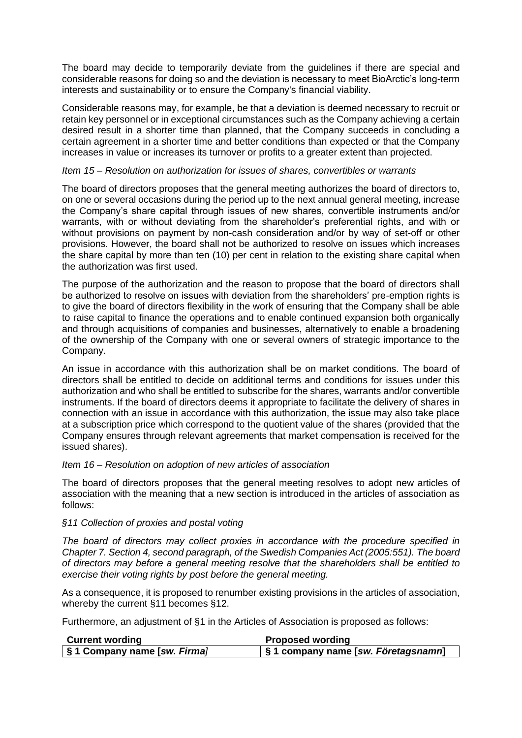The board may decide to temporarily deviate from the guidelines if there are special and considerable reasons for doing so and the deviation is necessary to meet BioArctic's long-term interests and sustainability or to ensure the Company's financial viability.

Considerable reasons may, for example, be that a deviation is deemed necessary to recruit or retain key personnel or in exceptional circumstances such as the Company achieving a certain desired result in a shorter time than planned, that the Company succeeds in concluding a certain agreement in a shorter time and better conditions than expected or that the Company increases in value or increases its turnover or profits to a greater extent than projected.

## *Item [15](#page-2-6) – Resolution on authorization for issues of shares, convertibles or warrants*

The board of directors proposes that the general meeting authorizes the board of directors to, on one or several occasions during the period up to the next annual general meeting, increase the Company's share capital through issues of new shares, convertible instruments and/or warrants, with or without deviating from the shareholder's preferential rights, and with or without provisions on payment by non-cash consideration and/or by way of set-off or other provisions. However, the board shall not be authorized to resolve on issues which increases the share capital by more than ten (10) per cent in relation to the existing share capital when the authorization was first used.

The purpose of the authorization and the reason to propose that the board of directors shall be authorized to resolve on issues with deviation from the shareholders' pre-emption rights is to give the board of directors flexibility in the work of ensuring that the Company shall be able to raise capital to finance the operations and to enable continued expansion both organically and through acquisitions of companies and businesses, alternatively to enable a broadening of the ownership of the Company with one or several owners of strategic importance to the Company.

An issue in accordance with this authorization shall be on market conditions. The board of directors shall be entitled to decide on additional terms and conditions for issues under this authorization and who shall be entitled to subscribe for the shares, warrants and/or convertible instruments. If the board of directors deems it appropriate to facilitate the delivery of shares in connection with an issue in accordance with this authorization, the issue may also take place at a subscription price which correspond to the quotient value of the shares (provided that the Company ensures through relevant agreements that market compensation is received for the issued shares).

#### *Item [16](#page-2-7) – Resolution on adoption of new articles of association*

The board of directors proposes that the general meeting resolves to adopt new articles of association with the meaning that a new section is introduced in the articles of association as follows:

#### *§11 Collection of proxies and postal voting*

*The board of directors may collect proxies in accordance with the procedure specified in Chapter 7. Section 4, second paragraph, of the Swedish Companies Act (2005:551). The board of directors may before a general meeting resolve that the shareholders shall be entitled to exercise their voting rights by post before the general meeting.*

As a consequence, it is proposed to renumber existing provisions in the articles of association, whereby the current §11 becomes §12.

Furthermore, an adjustment of §1 in the Articles of Association is proposed as follows:

| <b>Current wording</b>       | <b>Proposed wording</b>             |
|------------------------------|-------------------------------------|
| S 1 Company name [sw. Firma] | S 1 company name [sw. Företagsnamn] |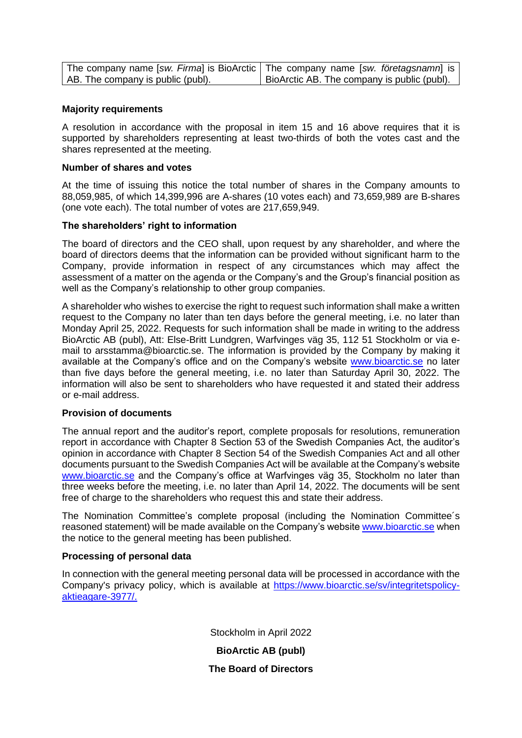|                                   | The company name [sw. Firma] is BioArctic   The company name [sw. företagsnamn] is |
|-----------------------------------|------------------------------------------------------------------------------------|
| AB. The company is public (publ). | BioArctic AB. The company is public (publ).                                        |

### **Majority requirements**

A resolution in accordance with the proposal in item [15](#page-2-6) and [16](#page-2-7) above requires that it is supported by shareholders representing at least two-thirds of both the votes cast and the shares represented at the meeting.

### **Number of shares and votes**

At the time of issuing this notice the total number of shares in the Company amounts to 88,059,985, of which 14,399,996 are A-shares (10 votes each) and 73,659,989 are B-shares (one vote each). The total number of votes are 217,659,949.

## **The shareholders' right to information**

The board of directors and the CEO shall, upon request by any shareholder, and where the board of directors deems that the information can be provided without significant harm to the Company, provide information in respect of any circumstances which may affect the assessment of a matter on the agenda or the Company's and the Group's financial position as well as the Company's relationship to other group companies.

A shareholder who wishes to exercise the right to request such information shall make a written request to the Company no later than ten days before the general meeting, i.e. no later than Monday April 25, 2022. Requests for such information shall be made in writing to the address BioArctic AB (publ), Att: Else-Britt Lundgren, Warfvinges väg 35, 112 51 Stockholm or via email to arsstamma@bioarctic.se. The information is provided by the Company by making it available at the Company's office and on the Company's website [www.bioarctic.se](http://www.bioarctic.se/) no later than five days before the general meeting, i.e. no later than Saturday April 30, 2022. The information will also be sent to shareholders who have requested it and stated their address or e-mail address.

#### **Provision of documents**

The annual report and the auditor's report, complete proposals for resolutions, remuneration report in accordance with Chapter 8 Section 53 of the Swedish Companies Act, the auditor's opinion in accordance with Chapter 8 Section 54 of the Swedish Companies Act and all other documents pursuant to the Swedish Companies Act will be available at the Company's website [www.bioarctic.se](http://www.bioarctic.se/) and the Company's office at Warfvinges väg 35, Stockholm no later than three weeks before the meeting, i.e. no later than April 14, 2022. The documents will be sent free of charge to the shareholders who request this and state their address.

The Nomination Committee's complete proposal (including the Nomination Committee´s reasoned statement) will be made available on the Company's website [www.bioarctic.se](http://www.bioarctic.se/) when the notice to the general meeting has been published.

#### **Processing of personal data**

In connection with the general meeting personal data will be processed in accordance with the Company's privacy policy, which is available at https://www.bioarctic.se/sv/integritetspolicyaktieagare-3977/.

> Stockholm in April 2022 **BioArctic AB (publ) The Board of Directors**